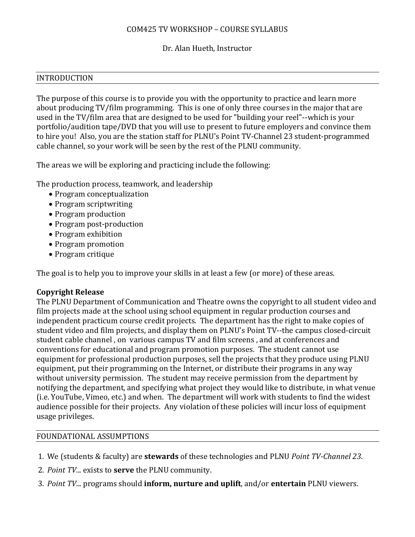## COM425 TV WORKSHOP – COURSE SYLLABUS

## Dr. Alan Hueth, Instructor

### INTRODUCTION

The purpose of this course is to provide you with the opportunity to practice and learn more about producing TV/film programming. This is one of only three courses in the major that are used in the TV/film area that are designed to be used for "building your reel"--which is your portfolio/audition tape/DVD that you will use to present to future employers and convince them to hire you! Also, you are the station staff for PLNU's Point TV-Channel 23 student-programmed cable channel, so your work will be seen by the rest of the PLNU community.

The areas we will be exploring and practicing include the following:

The production process, teamwork, and leadership

- Program conceptualization
- Program scriptwriting
- Program production
- Program post-production
- Program exhibition
- Program promotion
- Program critique

The goal is to help you to improve your skills in at least a few (or more) of these areas.

## **Copyright Release**

The PLNU Department of Communication and Theatre owns the copyright to all student video and film projects made at the school using school equipment in regular production courses and independent practicum course credit projects. The department has the right to make copies of student video and film projects, and display them on PLNU's Point TV--the campus closed-circuit student cable channel , on various campus TV and film screens , and at conferences and conventions for educational and program promotion purposes. The student cannot use equipment for professional production purposes, sell the projects that they produce using PLNU equipment, put their programming on the Internet, or distribute their programs in any way without university permission. The student may receive permission from the department by notifying the department, and specifying what project they would like to distribute, in what venue (i.e. YouTube, Vimeo, etc.) and when. The department will work with students to find the widest audience possible for their projects. Any violation of these policies will incur loss of equipment usage privileges.

## FOUNDATIONAL ASSUMPTIONS

- 1. We (students & faculty) are **stewards** of these technologies and PLNU *Point TV-Channel 23*.
- 2. *Point TV*... exists to **serve** the PLNU community.
- 3. *Point TV*... programs should **inform, nurture and uplift**, and/or **entertain** PLNU viewers.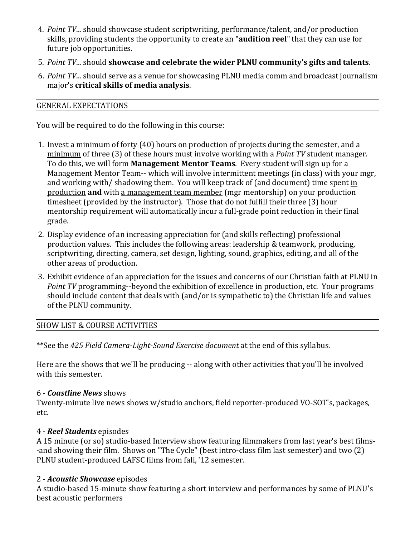- 4. *Point TV*... should showcase student scriptwriting, performance/talent, and/or production skills, providing students the opportunity to create an "**audition reel**" that they can use for future job opportunities.
- 5. *Point TV*... should **showcase and celebrate the wider PLNU community's gifts and talents**.
- 6. *Point TV*... should serve as a venue for showcasing PLNU media comm and broadcast journalism major's **critical skills of media analysis**.

## GENERAL EXPECTATIONS

You will be required to do the following in this course:

- 1. Invest a minimum of forty (40) hours on production of projects during the semester, and a minimum of three (3) of these hours must involve working with a *Point TV* student manager. To do this, we will form **Management Mentor Teams**. Every student will sign up for a Management Mentor Team-- which will involve intermittent meetings (in class) with your mgr, and working with/shadowing them. You will keep track of (and document) time spent in production **and** with a management team member (mgr mentorship) on your production timesheet (provided by the instructor). Those that do not fulfill their three (3) hour mentorship requirement will automatically incur a full-grade point reduction in their final grade.
- 2. Display evidence of an increasing appreciation for (and skills reflecting) professional production values. This includes the following areas: leadership & teamwork, producing, scriptwriting, directing, camera, set design, lighting, sound, graphics, editing, and all of the other areas of production.
- 3. Exhibit evidence of an appreciation for the issues and concerns of our Christian faith at PLNU in *Point TV* programming--beyond the exhibition of excellence in production, etc. Your programs should include content that deals with (and/or is sympathetic to) the Christian life and values of the PLNU community.

# SHOW LIST & COURSE ACTIVITIES

\*\*See the *425 Field Camera-Light-Sound Exercise document* at the end of this syllabus*.*

Here are the shows that we'll be producing -- along with other activities that you'll be involved with this semester.

## 6 - *Coastline News* shows

Twenty-minute live news shows w/studio anchors, field reporter-produced VO-SOT's, packages, etc.

## 4 - *Reel Students* episodes

A 15 minute (or so) studio-based Interview show featuring filmmakers from last year's best films- -and showing their film. Shows on "The Cycle" (best intro-class film last semester) and two (2) PLNU student-produced LAFSC films from fall, '12 semester.

## 2 - *Acoustic Showcase* episodes

A studio-based 15-minute show featuring a short interview and performances by some of PLNU's best acoustic performers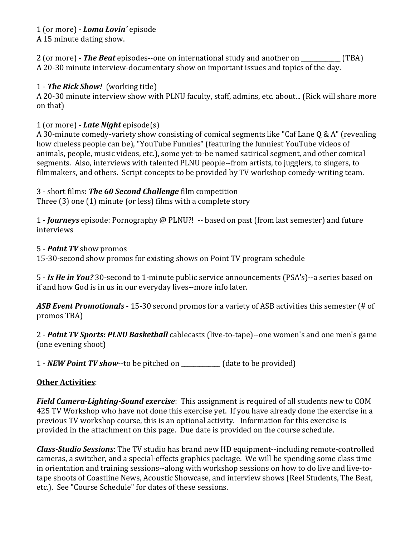## 1 (or more) - *Loma Lovin'* episode

A 15 minute dating show.

2 (or more) - *The Beat* episodes--one on international study and another on \_\_\_\_\_\_\_\_\_\_\_\_\_ (TBA) A 20-30 minute interview-documentary show on important issues and topics of the day.

## 1 - *The Rick Show!* (working title)

A 20-30 minute interview show with PLNU faculty, staff, admins, etc. about... (Rick will share more on that)

# 1 (or more) - *Late Night* episode(s)

A 30-minute comedy-variety show consisting of comical segments like "Caf Lane Q & A" (revealing how clueless people can be), "YouTube Funnies" (featuring the funniest YouTube videos of animals, people, music videos, etc.), some yet-to-be named satirical segment, and other comical segments. Also, interviews with talented PLNU people--from artists, to jugglers, to singers, to filmmakers, and others. Script concepts to be provided by TV workshop comedy-writing team.

# 3 - short films: *The 60 Second Challenge* film competition

Three (3) one (1) minute (or less) films with a complete story

1 - *Journeys* episode: Pornography @ PLNU?! -- based on past (from last semester) and future interviews

## 5 - *Point TV* show promos

15-30-second show promos for existing shows on Point TV program schedule

5 - *Is He in You?* 30-second to 1-minute public service announcements (PSA's)--a series based on if and how God is in us in our everyday lives--more info later.

*ASB Event Promotionals* - 15-30 second promos for a variety of ASB activities this semester (# of promos TBA)

2 - *Point TV Sports: PLNU Basketball* cablecasts (live-to-tape)--one women's and one men's game (one evening shoot)

1 - *NEW Point TV show*--to be pitched on \_\_\_\_\_\_\_\_\_\_\_\_\_ (date to be provided)

# **Other Activities**:

*Field Camera-Lighting-Sound exercise*: This assignment is required of all students new to COM 425 TV Workshop who have not done this exercise yet. If you have already done the exercise in a previous TV workshop course, this is an optional activity. Information for this exercise is provided in the attachment on this page. Due date is provided on the course schedule.

*Class-Studio Sessions*: The TV studio has brand new HD equipment--including remote-controlled cameras, a switcher, and a special-effects graphics package. We will be spending some class time in orientation and training sessions--along with workshop sessions on how to do live and live-totape shoots of Coastline News, Acoustic Showcase, and interview shows (Reel Students, The Beat, etc.). See "Course Schedule" for dates of these sessions.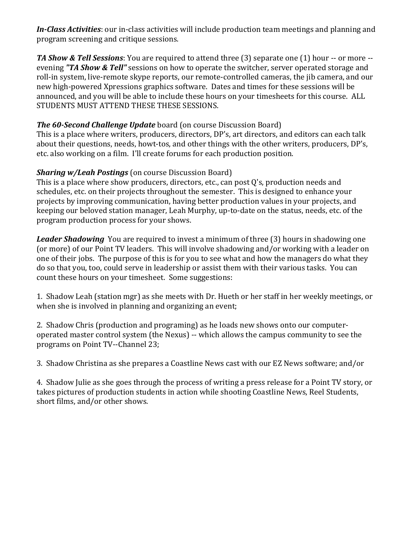*In-Class Activities*: our in-class activities will include production team meetings and planning and program screening and critique sessions.

*TA Show & Tell Sessions*: You are required to attend three (3) separate one (1) hour -- or more - evening *"TA Show & Tell"* sessions on how to operate the switcher, server operated storage and roll-in system, live-remote skype reports, our remote-controlled cameras, the jib camera, and our new high-powered Xpressions graphics software. Dates and times for these sessions will be announced, and you will be able to include these hours on your timesheets for this course. ALL STUDENTS MUST ATTEND THESE THESE SESSIONS.

# *The 60-Second Challenge Update* board (on course Discussion Board)

This is a place where writers, producers, directors, DP's, art directors, and editors can each talk about their questions, needs, howt-tos, and other things with the other writers, producers, DP's, etc. also working on a film. I'll create forums for each production position.

# *Sharing w/Leah Postings* (on course Discussion Board)

This is a place where show producers, directors, etc., can post Q's, production needs and schedules, etc. on their projects throughout the semester. This is designed to enhance your projects by improving communication, having better production values in your projects, and keeping our beloved station manager, Leah Murphy, up-to-date on the status, needs, etc. of the program production process for your shows.

*Leader Shadowing* You are required to invest a minimum of three (3) hours in shadowing one (or more) of our Point TV leaders. This will involve shadowing and/or working with a leader on one of their jobs. The purpose of this is for you to see what and how the managers do what they do so that you, too, could serve in leadership or assist them with their various tasks. You can count these hours on your timesheet. Some suggestions:

1. Shadow Leah (station mgr) as she meets with Dr. Hueth or her staff in her weekly meetings, or when she is involved in planning and organizing an event;

2. Shadow Chris (production and programing) as he loads new shows onto our computeroperated master control system (the Nexus) -- which allows the campus community to see the programs on Point TV--Channel 23;

3. Shadow Christina as she prepares a Coastline News cast with our EZ News software; and/or

4. Shadow Julie as she goes through the process of writing a press release for a Point TV story, or takes pictures of production students in action while shooting Coastline News, Reel Students, short films, and/or other shows.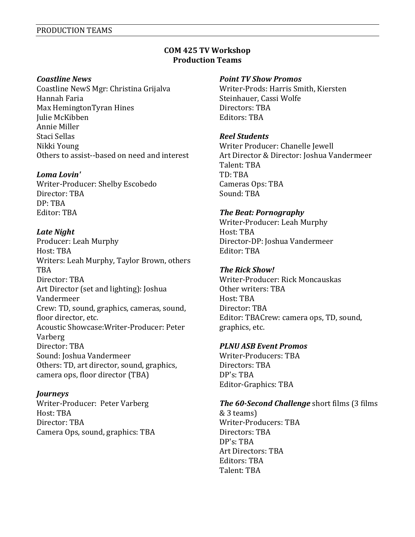### **COM 425 TV Workshop Production Teams**

#### *Coastline News*

Coastline NewS Mgr: Christina Grijalva Hannah Faria Max HemingtonTyran Hines Julie McKibben Annie Miller Staci Sellas Nikki Young Others to assist--based on need and interest

### *Loma Lovin'*

Writer-Producer: Shelby Escobedo Director: TBA DP: TBA Editor: TBA

### *Late Night*

Producer: Leah Murphy Host: TBA Writers: Leah Murphy, Taylor Brown, others TBA Director: TBA Art Director (set and lighting): Joshua Vandermeer Crew: TD, sound, graphics, cameras, sound, floor director, etc. Acoustic Showcase:Writer-Producer: Peter Varberg Director: TBA Sound: Joshua Vandermeer Others: TD, art director, sound, graphics, camera ops, floor director (TBA)

#### *Journeys*

Writer-Producer: Peter Varberg Host: TBA Director: TBA Camera Ops, sound, graphics: TBA

#### *Point TV Show Promos*

Writer-Prods: Harris Smith, Kiersten Steinhauer, Cassi Wolfe Directors: TBA Editors: TBA

### *Reel Students*

Writer Producer: Chanelle Jewell Art Director & Director: Joshua Vandermeer Talent: TBA TD: TBA Cameras Ops: TBA Sound: TBA

### *The Beat: Pornography*

Writer-Producer: Leah Murphy Host: TBA Director-DP: Joshua Vandermeer Editor: TBA

#### *The Rick Show!*

Writer-Producer: Rick Moncauskas Other writers: TBA Host: TBA Director: TBA Editor: TBACrew: camera ops, TD, sound, graphics, etc.

## *PLNU ASB Event Promos*

Writer-Producers: TBA Directors: TBA DP's: TBA Editor-Graphics: TBA

## *The 60-Second Challenge* short films (3 films

& 3 teams) Writer-Producers: TBA Directors: TBA DP's: TBA Art Directors: TBA Editors: TBA Talent: TBA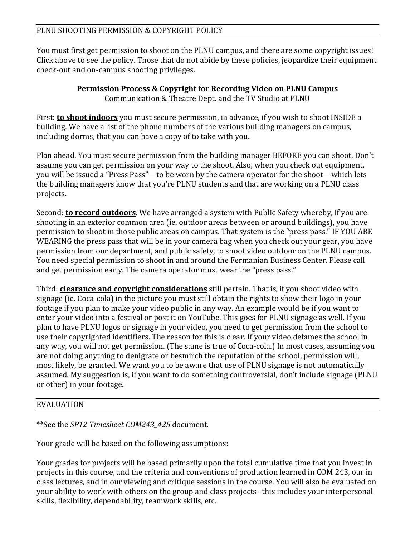You must first get permission to shoot on the PLNU campus, and there are some copyright issues! Click above to see the policy. Those that do not abide by these policies, jeopardize their equipment check-out and on-campus shooting privileges.

# **Permission Process & Copyright for Recording Video on PLNU Campus** Communication & Theatre Dept. and the TV Studio at PLNU

First: **to shoot indoors** you must secure permission, in advance, if you wish to shoot INSIDE a building. We have a list of the phone numbers of the various building managers on campus, including dorms, that you can have a copy of to take with you.

Plan ahead. You must secure permission from the building manager BEFORE you can shoot. Don't assume you can get permission on your way to the shoot. Also, when you check out equipment, you will be issued a "Press Pass"—to be worn by the camera operator for the shoot—which lets the building managers know that you're PLNU students and that are working on a PLNU class projects.

Second: **to record outdoors**. We have arranged a system with Public Safety whereby, if you are shooting in an exterior common area (ie. outdoor areas between or around buildings), you have permission to shoot in those public areas on campus. That system is the "press pass." IF YOU ARE WEARING the press pass that will be in your camera bag when you check out your gear, you have permission from our department, and public safety, to shoot video outdoor on the PLNU campus. You need special permission to shoot in and around the Fermanian Business Center. Please call and get permission early. The camera operator must wear the "press pass."

Third: **clearance and copyright considerations** still pertain. That is, if you shoot video with signage (ie. Coca-cola) in the picture you must still obtain the rights to show their logo in your footage if you plan to make your video public in any way. An example would be if you want to enter your video into a festival or post it on YouTube. This goes for PLNU signage as well. If you plan to have PLNU logos or signage in your video, you need to get permission from the school to use their copyrighted identifiers. The reason for this is clear. If your video defames the school in any way, you will not get permission. (The same is true of Coca-cola.) In most cases, assuming you are not doing anything to denigrate or besmirch the reputation of the school, permission will, most likely, be granted. We want you to be aware that use of PLNU signage is not automatically assumed. My suggestion is, if you want to do something controversial, don't include signage (PLNU or other) in your footage.

# EVALUATION

# \*\*See the *SP12 Timesheet COM243\_425* document.

Your grade will be based on the following assumptions:

Your grades for projects will be based primarily upon the total cumulative time that you invest in projects in this course, and the criteria and conventions of production learned in COM 243, our in class lectures, and in our viewing and critique sessions in the course. You will also be evaluated on your ability to work with others on the group and class projects--this includes your interpersonal skills, flexibility, dependability, teamwork skills, etc.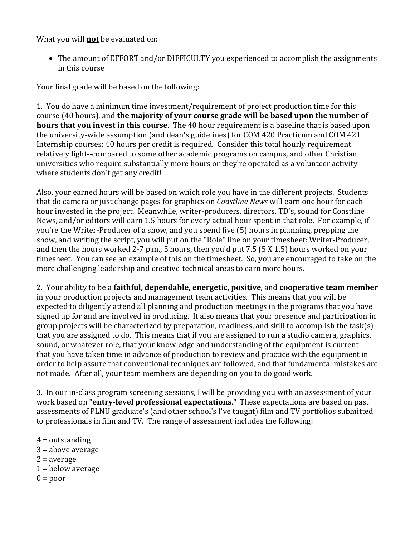What you will **not** be evaluated on:

• The amount of EFFORT and/or DIFFICULTY you experienced to accomplish the assignments in this course

Your final grade will be based on the following:

1. You do have a minimum time investment/requirement of project production time for this course (40 hours), and **the majority of your course grade will be based upon the number of hours that you invest in this course**. The 40 hour requirement is a baseline that is based upon the university-wide assumption (and dean's guidelines) for COM 420 Practicum and COM 421 Internship courses: 40 hours per credit is required. Consider this total hourly requirement relatively light--compared to some other academic programs on campus, and other Christian universities who require substantially more hours or they're operated as a volunteer activity where students don't get any credit!

Also, your earned hours will be based on which role you have in the different projects. Students that do camera or just change pages for graphics on *Coastline News* will earn one hour for each hour invested in the project. Meanwhile, writer-producers, directors, TD's, sound for Coastline News, and/or editors will earn 1.5 hours for every actual hour spent in that role. For example, if you're the Writer-Producer of a show, and you spend five (5) hours in planning, prepping the show, and writing the script, you will put on the "Role" line on your timesheet: Writer-Producer, and then the hours worked 2-7 p.m., 5 hours, then you'd put 7.5 (5 X 1.5) hours worked on your timesheet. You can see an example of this on the timesheet. So, you are encouraged to take on the more challenging leadership and creative-technical areas to earn more hours.

2. Your ability to be a **faithful, dependable, energetic, positive**, and **cooperative team member** in your production projects and management team activities. This means that you will be expected to diligently attend all planning and production meetings in the programs that you have signed up for and are involved in producing. It also means that your presence and participation in group projects will be characterized by preparation, readiness, and skill to accomplish the task(s) that you are assigned to do. This means that if you are assigned to run a studio camera, graphics, sound, or whatever role, that your knowledge and understanding of the equipment is current- that you have taken time in advance of production to review and practice with the equipment in order to help assure that conventional techniques are followed, and that fundamental mistakes are not made. After all, your team members are depending on you to do good work.

3. In our in-class program screening sessions, I will be providing you with an assessment of your work based on "**entry-level professional expectations**." These expectations are based on past assessments of PLNU graduate's (and other school's I've taught) film and TV portfolios submitted to professionals in film and TV. The range of assessment includes the following:

- $4 =$  outstanding 3 = above average  $2 = average$  $1 =$  below average
- $0 = poor$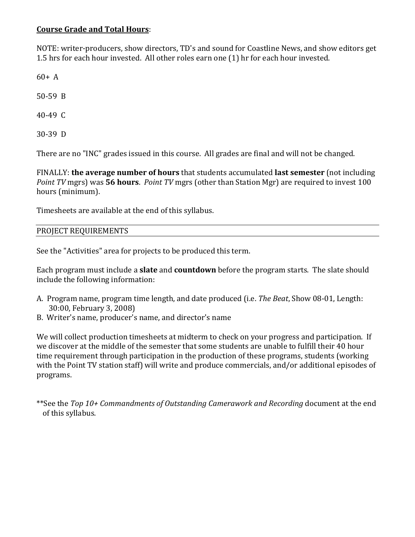# **Course Grade and Total Hours**:

NOTE: writer-producers, show directors, TD's and sound for Coastline News, and show editors get 1.5 hrs for each hour invested. All other roles earn one (1) hr for each hour invested.

 $60 + A$ 

50-59 B

40-49 C

30-39 D

There are no "INC" grades issued in this course. All grades are final and will not be changed.

FINALLY: **the average number of hours** that students accumulated **last semester** (not including *Point TV* mgrs) was **56 hours**. *Point TV* mgrs (other than Station Mgr) are required to invest 100 hours (minimum).

Timesheets are available at the end of this syllabus.

# PROJECT REQUIREMENTS

See the "Activities" area for projects to be produced this term.

Each program must include a **slate** and **countdown** before the program starts. The slate should include the following information:

- A. Program name, program time length, and date produced (i.e. *The Beat*, Show 08-01, Length: 30:00, February 3, 2008)
- B. Writer's name, producer's name, and director's name

We will collect production timesheets at midterm to check on your progress and participation. If we discover at the middle of the semester that some students are unable to fulfill their 40 hour time requirement through participation in the production of these programs, students (working with the Point TV station staff) will write and produce commercials, and/or additional episodes of programs.

\*\*See the *Top 10+ Commandments of Outstanding Camerawork and Recording* document at the end of this syllabus.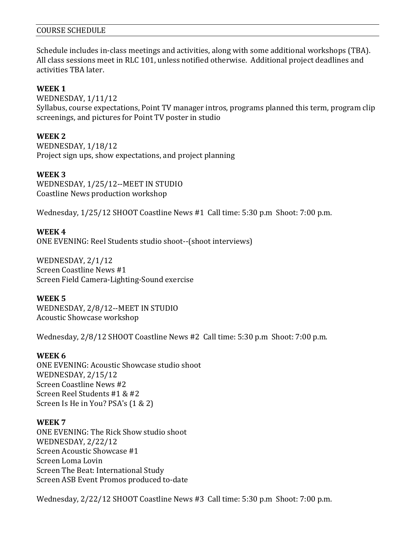### COURSE SCHEDULE

Schedule includes in-class meetings and activities, along with some additional workshops (TBA). All class sessions meet in RLC 101, unless notified otherwise. Additional project deadlines and activities TBA later.

### **WEEK 1**

WEDNESDAY, 1/11/12 Syllabus, course expectations, Point TV manager intros, programs planned this term, program clip screenings, and pictures for Point TV poster in studio

### **WEEK 2**

WEDNESDAY, 1/18/12 Project sign ups, show expectations, and project planning

### **WEEK 3**

WEDNESDAY, 1/25/12--MEET IN STUDIO Coastline News production workshop

Wednesday, 1/25/12 SHOOT Coastline News #1 Call time: 5:30 p.m Shoot: 7:00 p.m.

### **WEEK 4**

ONE EVENING: Reel Students studio shoot--(shoot interviews)

WEDNESDAY, 2/1/12 Screen Coastline News #1 Screen Field Camera-Lighting-Sound exercise

#### **WEEK 5**

WEDNESDAY, 2/8/12--MEET IN STUDIO Acoustic Showcase workshop

Wednesday, 2/8/12 SHOOT Coastline News #2 Call time: 5:30 p.m Shoot: 7:00 p.m.

#### **WEEK 6**

ONE EVENING: Acoustic Showcase studio shoot WEDNESDAY, 2/15/12 Screen Coastline News #2 Screen Reel Students #1 & #2 Screen Is He in You? PSA's (1 & 2)

#### **WEEK 7**

ONE EVENING: The Rick Show studio shoot WEDNESDAY, 2/22/12 Screen Acoustic Showcase #1 Screen Loma Lovin Screen The Beat: International Study Screen ASB Event Promos produced to-date

Wednesday, 2/22/12 SHOOT Coastline News #3 Call time: 5:30 p.m Shoot: 7:00 p.m.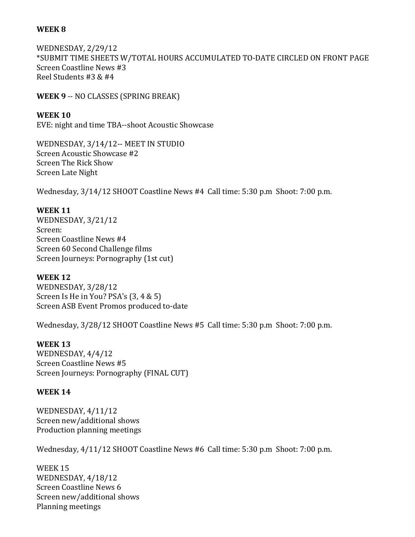## **WEEK 8**

WEDNESDAY, 2/29/12 \*SUBMIT TIME SHEETS W/TOTAL HOURS ACCUMULATED TO-DATE CIRCLED ON FRONT PAGE Screen Coastline News #3 Reel Students #3 & #4

**WEEK 9** -- NO CLASSES (SPRING BREAK)

**WEEK 10** EVE: night and time TBA--shoot Acoustic Showcase

WEDNESDAY, 3/14/12-- MEET IN STUDIO Screen Acoustic Showcase #2 Screen The Rick Show Screen Late Night

Wednesday, 3/14/12 SHOOT Coastline News #4 Call time: 5:30 p.m Shoot: 7:00 p.m.

## **WEEK 11**

WEDNESDAY, 3/21/12 Screen: Screen Coastline News #4 Screen 60 Second Challenge films Screen Journeys: Pornography (1st cut)

## **WEEK 12**

WEDNESDAY, 3/28/12 Screen Is He in You? PSA's (3, 4 & 5) Screen ASB Event Promos produced to-date

Wednesday, 3/28/12 SHOOT Coastline News #5 Call time: 5:30 p.m Shoot: 7:00 p.m.

## **WEEK 13**

WEDNESDAY, 4/4/12 Screen Coastline News #5 Screen Journeys: Pornography (FINAL CUT)

## **WEEK 14**

WEDNESDAY, 4/11/12 Screen new/additional shows Production planning meetings

Wednesday, 4/11/12 SHOOT Coastline News #6 Call time: 5:30 p.m Shoot: 7:00 p.m.

WEEK 15 WEDNESDAY, 4/18/12 Screen Coastline News 6 Screen new/additional shows Planning meetings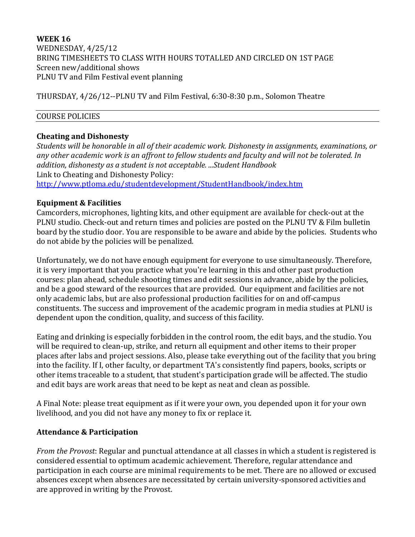## **WEEK 16** WEDNESDAY, 4/25/12 BRING TIMESHEETS TO CLASS WITH HOURS TOTALLED AND CIRCLED ON 1ST PAGE Screen new/additional shows PLNU TV and Film Festival event planning

THURSDAY, 4/26/12--PLNU TV and Film Festival, 6:30-8:30 p.m., Solomon Theatre

## COURSE POLICIES

## **Cheating and Dishonesty**

*Students will be honorable in all of their academic work. Dishonesty in assignments, examinations, or any other academic work is an affront to fellow students and faculty and will not be tolerated. In addition, dishonesty as a student is not acceptable. ...Student Handbook* Link to Cheating and Dishonesty Policy: <http://www.ptloma.edu/studentdevelopment/StudentHandbook/index.htm>

## **Equipment & Facilities**

Camcorders, microphones, lighting kits, and other equipment are available for check-out at the PLNU studio. Check-out and return times and policies are posted on the PLNU TV & Film bulletin board by the studio door. You are responsible to be aware and abide by the policies. Students who do not abide by the policies will be penalized.

Unfortunately, we do not have enough equipment for everyone to use simultaneously. Therefore, it is very important that you practice what you're learning in this and other past production courses: plan ahead, schedule shooting times and edit sessions in advance, abide by the policies, and be a good steward of the resources that are provided. Our equipment and facilities are not only academic labs, but are also professional production facilities for on and off-campus constituents. The success and improvement of the academic program in media studies at PLNU is dependent upon the condition, quality, and success of this facility.

Eating and drinking is especially forbidden in the control room, the edit bays, and the studio. You will be required to clean-up, strike, and return all equipment and other items to their proper places after labs and project sessions. Also, please take everything out of the facility that you bring into the facility. If I, other faculty, or department TA's consistently find papers, books, scripts or other items traceable to a student, that student's participation grade will be affected. The studio and edit bays are work areas that need to be kept as neat and clean as possible.

A Final Note: please treat equipment as if it were your own, you depended upon it for your own livelihood, and you did not have any money to fix or replace it.

# **Attendance & Participation**

*From the Provost*: Regular and punctual attendance at all classes in which a student is registered is considered essential to optimum academic achievement. Therefore, regular attendance and participation in each course are minimal requirements to be met. There are no allowed or excused absences except when absences are necessitated by certain university-sponsored activities and are approved in writing by the Provost.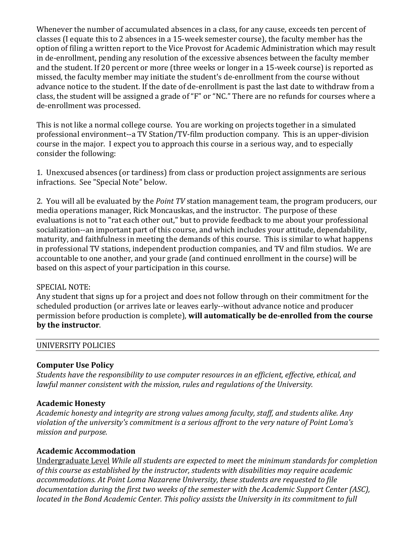Whenever the number of accumulated absences in a class, for any cause, exceeds ten percent of classes (I equate this to 2 absences in a 15-week semester course), the faculty member has the option of filing a written report to the Vice Provost for Academic Administration which may result in de-enrollment, pending any resolution of the excessive absences between the faculty member and the student. If 20 percent or more (three weeks or longer in a 15-week course) is reported as missed, the faculty member may initiate the student's de-enrollment from the course without advance notice to the student. If the date of de-enrollment is past the last date to withdraw from a class, the student will be assigned a grade of "F" or "NC." There are no refunds for courses where a de-enrollment was processed.

This is not like a normal college course. You are working on projects together in a simulated professional environment--a TV Station/TV-film production company. This is an upper-division course in the major. I expect you to approach this course in a serious way, and to especially consider the following:

1. Unexcused absences (or tardiness) from class or production project assignments are serious infractions. See "Special Note" below.

2. You will all be evaluated by the *Point TV* station management team, the program producers, our media operations manager, Rick Moncauskas, and the instructor. The purpose of these evaluations is not to "rat each other out," but to provide feedback to me about your professional socialization--an important part of this course, and which includes your attitude, dependability, maturity, and faithfulness in meeting the demands of this course. This is similar to what happens in professional TV stations, independent production companies, and TV and film studios. We are accountable to one another, and your grade (and continued enrollment in the course) will be based on this aspect of your participation in this course.

## SPECIAL NOTE:

Any student that signs up for a project and does not follow through on their commitment for the scheduled production (or arrives late or leaves early--without advance notice and producer permission before production is complete), **will automatically be de-enrolled from the course by the instructor**.

| UNIVERSITY POLICIES |  |  |
|---------------------|--|--|
|                     |  |  |

## **Computer Use Policy**

*Students have the responsibility to use computer resources in an efficient, effective, ethical, and lawful manner consistent with the mission, rules and regulations of the University.*

## **Academic Honesty**

*Academic honesty and integrity are strong values among faculty, staff, and students alike. Any violation of the university's commitment is a serious affront to the very nature of Point Loma's mission and purpose.*

## **Academic Accommodation**

Undergraduate Level *While all students are expected to meet the minimum standards for completion of this course as established by the instructor, students with disabilities may require academic accommodations. At Point Loma Nazarene University, these students are requested to file documentation during the first two weeks of the semester with the Academic Support Center (ASC), located in the Bond Academic Center. This policy assists the University in its commitment to full*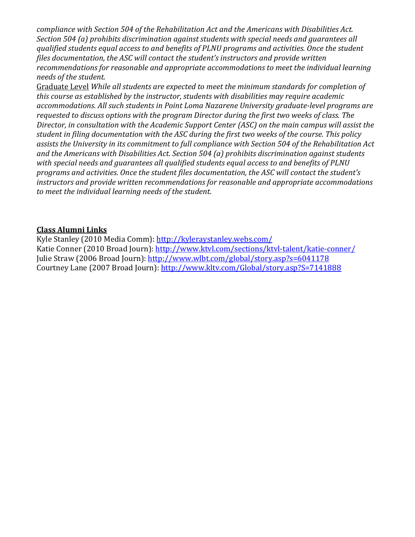*compliance with Section 504 of the Rehabilitation Act and the Americans with Disabilities Act. Section 504 (a) prohibits discrimination against students with special needs and guarantees all qualified students equal access to and benefits of PLNU programs and activities. Once the student files documentation, the ASC will contact the student's instructors and provide written recommendations for reasonable and appropriate accommodations to meet the individual learning needs of the student.*

Graduate Level *While all students are expected to meet the minimum standards for completion of this course as established by the instructor, students with disabilities may require academic accommodations. All such students in Point Loma Nazarene University graduate-level programs are requested to discuss options with the program Director during the first two weeks of class. The Director, in consultation with the Academic Support Center (ASC) on the main campus will assist the student in filing documentation with the ASC during the first two weeks of the course. This policy assists the University in its commitment to full compliance with Section 504 of the Rehabilitation Act and the Americans with Disabilities Act. Section 504 (a) prohibits discrimination against students with special needs and guarantees all qualified students equal access to and benefits of PLNU programs and activities. Once the student files documentation, the ASC will contact the student's instructors and provide written recommendations for reasonable and appropriate accommodations to meet the individual learning needs of the student*.

## **Class Alumni Links**

Kyle Stanley (2010 Media Comm):<http://kyleraystanley.webs.com/> Katie Conner (2010 Broad Journ):<http://www.ktvl.com/sections/ktvl-talent/katie-conner/> Julie Straw (2006 Broad Journ):<http://www.wlbt.com/global/story.asp?s=6041178> Courtney Lane (2007 Broad Journ):<http://www.kltv.com/Global/story.asp?S=7141888>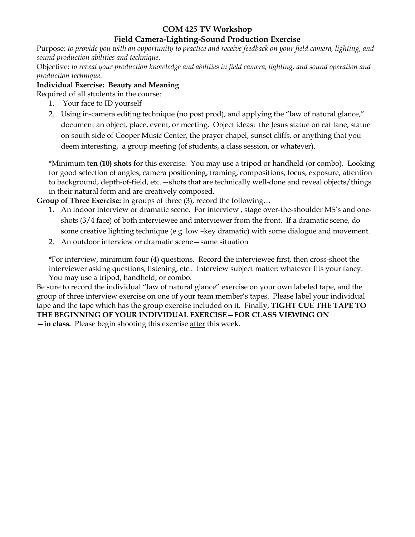# **COM 425 TV Workshop**

## **Field Camera-Lighting-Sound Production Exercise**

Purpose: *to provide you with an opportunity to practice and receive feedback on your field camera, lighting, and sound production abilities and technique.*

Objective: *to reveal your production knowledge and abilities in field camera, lighting, and sound operation and production technique.* 

### **Individual Exercise: Beauty and Meaning**

Required of all students in the course:

- 1. Your face to ID yourself
- 2. Using in-camera editing technique (no post prod), and applying the "law of natural glance," document an object, place, event, or meeting. Object ideas: the Jesus statue on caf lane, statue on south side of Cooper Music Center, the prayer chapel, sunset cliffs, or anything that you deem interesting, a group meeting (of students, a class session, or whatever).

\*Minimum **ten (10) shots** for this exercise. You may use a tripod or handheld (or combo). Looking for good selection of angles, camera positioning, framing, compositions, focus, exposure, attention to background, depth-of-field, etc.—shots that are technically well-done and reveal objects/things in their natural form and are creatively composed.

**Group of Three Exercise:** in groups of three (3), record the following…

- 1. An indoor interview or dramatic scene. For interview , stage over-the-shoulder MS's and oneshots (3/4 face) of both interviewee and interviewer from the front. If a dramatic scene, do some creative lighting technique (e.g. low –key dramatic) with some dialogue and movement.
- 2. An outdoor interview or dramatic scene—same situation

\*For interview, minimum four (4) questions. Record the interviewee first, then cross-shoot the interviewer asking questions, listening, etc.. Interview subject matter: whatever fits your fancy. You may use a tripod, handheld, or combo.

Be sure to record the individual "law of natural glance" exercise on your own labeled tape, and the group of three interview exercise on one of your team member's tapes. Please label your individual tape and the tape which has the group exercise included on it. Finally, **TIGHT CUE THE TAPE TO THE BEGINNING OF YOUR INDIVIDUAL EXERCISE—FOR CLASS VIEWING ON —in class.** Please begin shooting this exercise after this week.